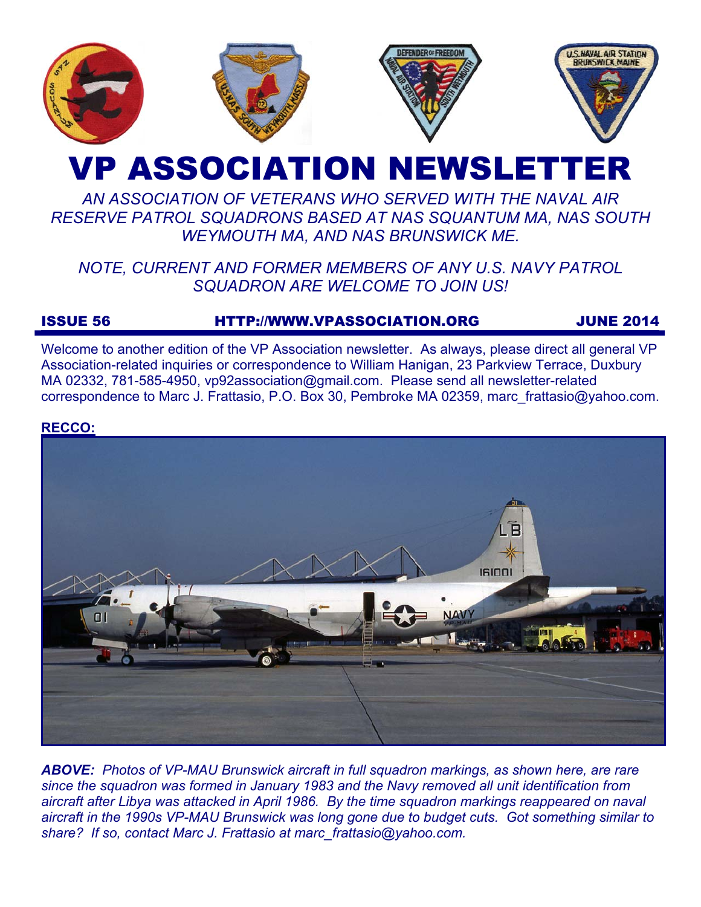

# **VP ASSOCIATION NEWSLETTE**

# *AN ASSOCIATION OF VETERANS WHO SERVED WITH THE NAVAL AIR RESERVE PATROL SQUADRONS BASED AT NAS SQUANTUM MA, NAS SOUTH WEYMOUTH MA, AND NAS BRUNSWICK ME.*

# *NOTE, CURRENT AND FORMER MEMBERS OF ANY U.S. NAVY PATROL SQUADRON ARE WELCOME TO JOIN US!*

# ISSUE 56 HTTP://WWW.VPASSOCIATION.ORG JUNE 2014

Welcome to another edition of the VP Association newsletter. As always, please direct all general VP Association-related inquiries or correspondence to William Hanigan, 23 Parkview Terrace, Duxbury MA 02332, 781-585-4950, vp92association@gmail.com. Please send all newsletter-related correspondence to Marc J. Frattasio, P.O. Box 30, Pembroke MA 02359, marc\_frattasio@yahoo.com.

# **RECCO:**



*ABOVE: Photos of VP-MAU Brunswick aircraft in full squadron markings, as shown here, are rare since the squadron was formed in January 1983 and the Navy removed all unit identification from aircraft after Libya was attacked in April 1986. By the time squadron markings reappeared on naval aircraft in the 1990s VP-MAU Brunswick was long gone due to budget cuts. Got something similar to share? If so, contact Marc J. Frattasio at marc\_frattasio@yahoo.com.*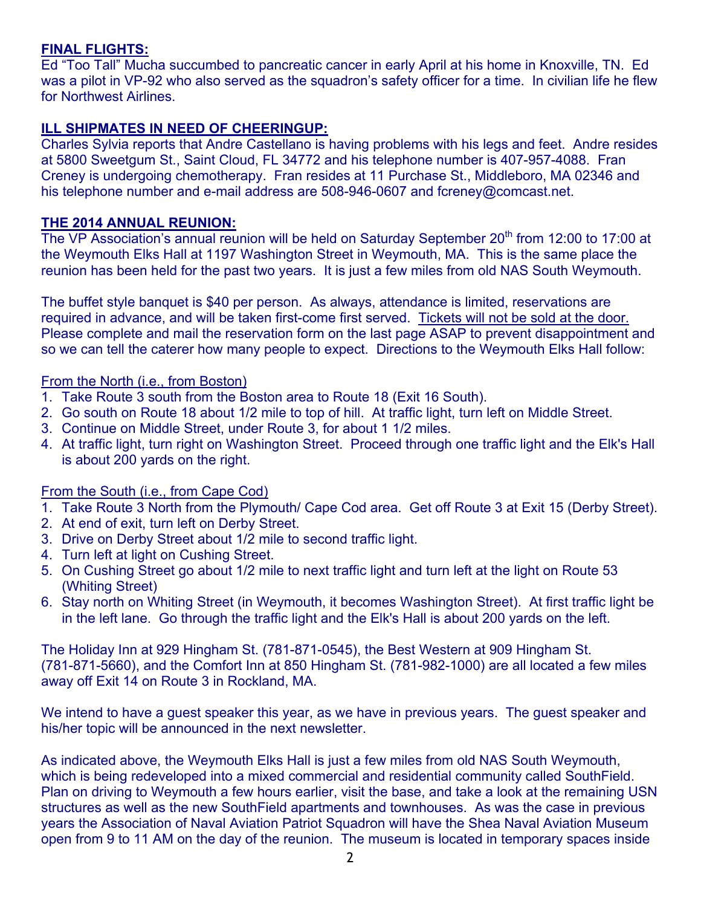# **FINAL FLIGHTS:**

Ed "Too Tall" Mucha succumbed to pancreatic cancer in early April at his home in Knoxville, TN. Ed was a pilot in VP-92 who also served as the squadron's safety officer for a time. In civilian life he flew for Northwest Airlines.

# **ILL SHIPMATES IN NEED OF CHEERINGUP:**

Charles Sylvia reports that Andre Castellano is having problems with his legs and feet. Andre resides at 5800 Sweetgum St., Saint Cloud, FL 34772 and his telephone number is 407-957-4088. Fran Creney is undergoing chemotherapy. Fran resides at 11 Purchase St., Middleboro, MA 02346 and his telephone number and e-mail address are 508-946-0607 and fcreney@comcast.net.

### **THE 2014 ANNUAL REUNION:**

The VP Association's annual reunion will be held on Saturday September 20<sup>th</sup> from 12:00 to 17:00 at the Weymouth Elks Hall at 1197 Washington Street in Weymouth, MA. This is the same place the reunion has been held for the past two years. It is just a few miles from old NAS South Weymouth.

The buffet style banquet is \$40 per person. As always, attendance is limited, reservations are required in advance, and will be taken first-come first served. Tickets will not be sold at the door. Please complete and mail the reservation form on the last page ASAP to prevent disappointment and so we can tell the caterer how many people to expect. Directions to the Weymouth Elks Hall follow:

### From the North (i.e., from Boston)

- 1. Take Route 3 south from the Boston area to Route 18 (Exit 16 South).
- 2. Go south on Route 18 about 1/2 mile to top of hill. At traffic light, turn left on Middle Street.
- 3. Continue on Middle Street, under Route 3, for about 1 1/2 miles.
- 4. At traffic light, turn right on Washington Street. Proceed through one traffic light and the Elk's Hall is about 200 yards on the right.

# From the South (i.e., from Cape Cod)

- 1. Take Route 3 North from the Plymouth/ Cape Cod area. Get off Route 3 at Exit 15 (Derby Street).
- 2. At end of exit, turn left on Derby Street.
- 3. Drive on Derby Street about 1/2 mile to second traffic light.
- 4. Turn left at light on Cushing Street.
- 5. On Cushing Street go about 1/2 mile to next traffic light and turn left at the light on Route 53 (Whiting Street)
- 6. Stay north on Whiting Street (in Weymouth, it becomes Washington Street). At first traffic light be in the left lane. Go through the traffic light and the Elk's Hall is about 200 yards on the left.

The Holiday Inn at 929 Hingham St. (781-871-0545), the Best Western at 909 Hingham St. (781-871-5660), and the Comfort Inn at 850 Hingham St. (781-982-1000) are all located a few miles away off Exit 14 on Route 3 in Rockland, MA.

We intend to have a guest speaker this year, as we have in previous years. The guest speaker and his/her topic will be announced in the next newsletter.

As indicated above, the Weymouth Elks Hall is just a few miles from old NAS South Weymouth, which is being redeveloped into a mixed commercial and residential community called SouthField. Plan on driving to Weymouth a few hours earlier, visit the base, and take a look at the remaining USN structures as well as the new SouthField apartments and townhouses. As was the case in previous years the Association of Naval Aviation Patriot Squadron will have the Shea Naval Aviation Museum open from 9 to 11 AM on the day of the reunion. The museum is located in temporary spaces inside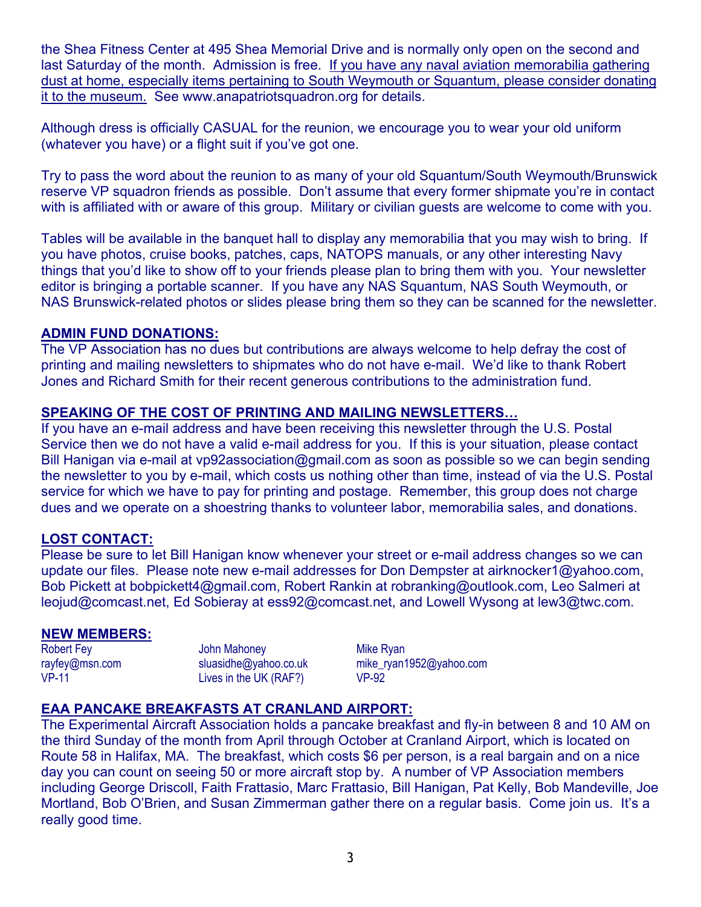the Shea Fitness Center at 495 Shea Memorial Drive and is normally only open on the second and last Saturday of the month. Admission is free. If you have any naval aviation memorabilia gathering dust at home, especially items pertaining to South Weymouth or Squantum, please consider donating it to the museum. See www.anapatriotsquadron.org for details.

Although dress is officially CASUAL for the reunion, we encourage you to wear your old uniform (whatever you have) or a flight suit if you've got one.

Try to pass the word about the reunion to as many of your old Squantum/South Weymouth/Brunswick reserve VP squadron friends as possible. Don't assume that every former shipmate you're in contact with is affiliated with or aware of this group. Military or civilian guests are welcome to come with you.

Tables will be available in the banquet hall to display any memorabilia that you may wish to bring. If you have photos, cruise books, patches, caps, NATOPS manuals, or any other interesting Navy things that you'd like to show off to your friends please plan to bring them with you. Your newsletter editor is bringing a portable scanner. If you have any NAS Squantum, NAS South Weymouth, or NAS Brunswick-related photos or slides please bring them so they can be scanned for the newsletter.

# **ADMIN FUND DONATIONS:**

The VP Association has no dues but contributions are always welcome to help defray the cost of printing and mailing newsletters to shipmates who do not have e-mail. We'd like to thank Robert Jones and Richard Smith for their recent generous contributions to the administration fund.

# **SPEAKING OF THE COST OF PRINTING AND MAILING NEWSLETTERS…**

If you have an e-mail address and have been receiving this newsletter through the U.S. Postal Service then we do not have a valid e-mail address for you. If this is your situation, please contact Bill Hanigan via e-mail at vp92association@gmail.com as soon as possible so we can begin sending the newsletter to you by e-mail, which costs us nothing other than time, instead of via the U.S. Postal service for which we have to pay for printing and postage. Remember, this group does not charge dues and we operate on a shoestring thanks to volunteer labor, memorabilia sales, and donations.

# **LOST CONTACT:**

Please be sure to let Bill Hanigan know whenever your street or e-mail address changes so we can update our files. Please note new e-mail addresses for Don Dempster at airknocker1@yahoo.com, Bob Pickett at bobpickett4@gmail.com, Robert Rankin at robranking@outlook.com, Leo Salmeri at leojud@comcast.net, Ed Sobieray at ess92@comcast.net, and Lowell Wysong at lew3@twc.com.

### **NEW MEMBERS:**

Robert Fey rayfey@msn.com VP-11

John Mahoney sluasidhe@yahoo.co.uk Lives in the UK (RAF?)

Mike Ryan mike\_ryan1952@yahoo.com VP-92

# **EAA PANCAKE BREAKFASTS AT CRANLAND AIRPORT:**

The Experimental Aircraft Association holds a pancake breakfast and fly-in between 8 and 10 AM on the third Sunday of the month from April through October at Cranland Airport, which is located on Route 58 in Halifax, MA. The breakfast, which costs \$6 per person, is a real bargain and on a nice day you can count on seeing 50 or more aircraft stop by. A number of VP Association members including George Driscoll, Faith Frattasio, Marc Frattasio, Bill Hanigan, Pat Kelly, Bob Mandeville, Joe Mortland, Bob O'Brien, and Susan Zimmerman gather there on a regular basis. Come join us. It's a really good time.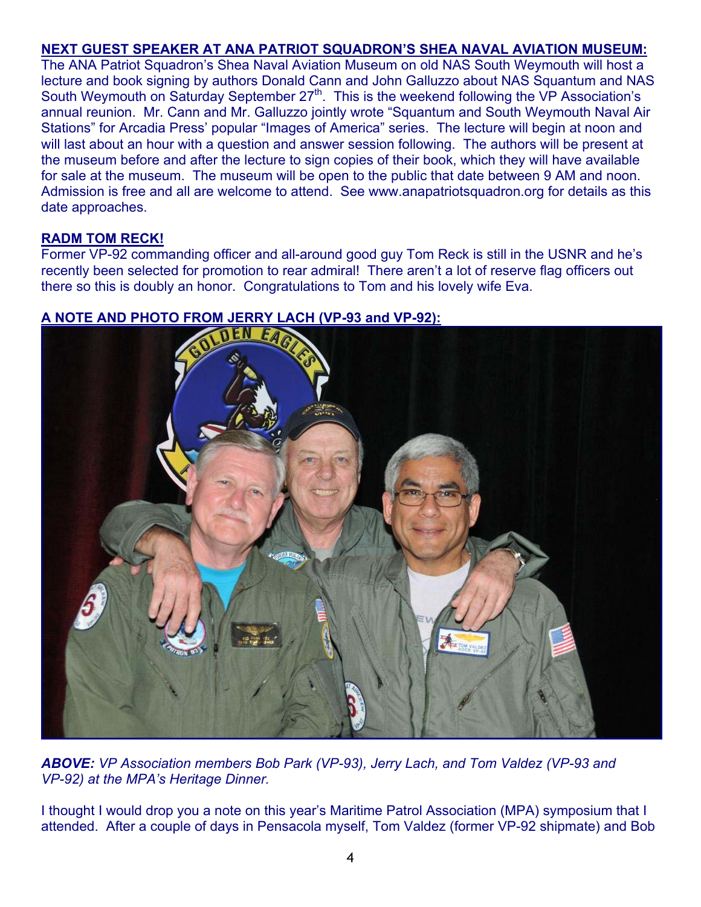# **NEXT GUEST SPEAKER AT ANA PATRIOT SQUADRON'S SHEA NAVAL AVIATION MUSEUM:**

The ANA Patriot Squadron's Shea Naval Aviation Museum on old NAS South Weymouth will host a lecture and book signing by authors Donald Cann and John Galluzzo about NAS Squantum and NAS South Weymouth on Saturday September 27<sup>th</sup>. This is the weekend following the VP Association's annual reunion. Mr. Cann and Mr. Galluzzo jointly wrote "Squantum and South Weymouth Naval Air Stations" for Arcadia Press' popular "Images of America" series. The lecture will begin at noon and will last about an hour with a question and answer session following. The authors will be present at the museum before and after the lecture to sign copies of their book, which they will have available for sale at the museum. The museum will be open to the public that date between 9 AM and noon. Admission is free and all are welcome to attend. See www.anapatriotsquadron.org for details as this date approaches.

# **RADM TOM RECK!**

Former VP-92 commanding officer and all-around good guy Tom Reck is still in the USNR and he's recently been selected for promotion to rear admiral! There aren't a lot of reserve flag officers out there so this is doubly an honor. Congratulations to Tom and his lovely wife Eva.



*ABOVE: VP Association members Bob Park (VP-93), Jerry Lach, and Tom Valdez (VP-93 and VP-92) at the MPA's Heritage Dinner.*

I thought I would drop you a note on this year's Maritime Patrol Association (MPA) symposium that I attended. After a couple of days in Pensacola myself, Tom Valdez (former VP-92 shipmate) and Bob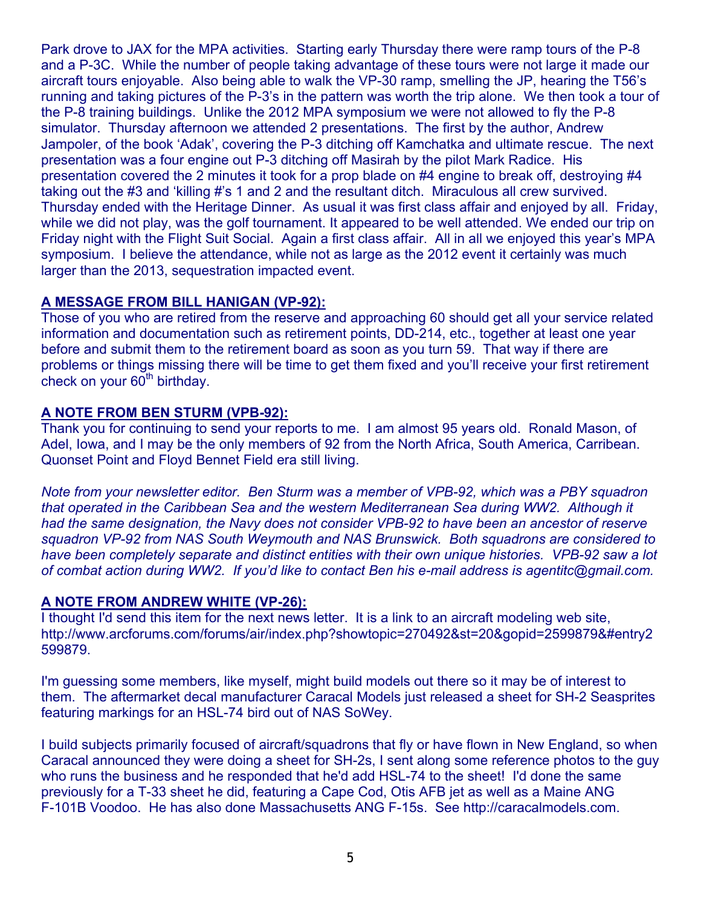Park drove to JAX for the MPA activities. Starting early Thursday there were ramp tours of the P-8 and a P-3C. While the number of people taking advantage of these tours were not large it made our aircraft tours enjoyable. Also being able to walk the VP-30 ramp, smelling the JP, hearing the T56's running and taking pictures of the P-3's in the pattern was worth the trip alone. We then took a tour of the P-8 training buildings. Unlike the 2012 MPA symposium we were not allowed to fly the P-8 simulator. Thursday afternoon we attended 2 presentations. The first by the author, Andrew Jampoler, of the book 'Adak', covering the P-3 ditching off Kamchatka and ultimate rescue. The next presentation was a four engine out P-3 ditching off Masirah by the pilot Mark Radice. His presentation covered the 2 minutes it took for a prop blade on #4 engine to break off, destroying #4 taking out the #3 and 'killing #'s 1 and 2 and the resultant ditch. Miraculous all crew survived. Thursday ended with the Heritage Dinner. As usual it was first class affair and enjoyed by all. Friday, while we did not play, was the golf tournament. It appeared to be well attended. We ended our trip on Friday night with the Flight Suit Social. Again a first class affair. All in all we enjoyed this year's MPA symposium. I believe the attendance, while not as large as the 2012 event it certainly was much larger than the 2013, sequestration impacted event.

# **A MESSAGE FROM BILL HANIGAN (VP-92):**

Those of you who are retired from the reserve and approaching 60 should get all your service related information and documentation such as retirement points, DD-214, etc., together at least one year before and submit them to the retirement board as soon as you turn 59. That way if there are problems or things missing there will be time to get them fixed and you'll receive your first retirement check on your  $60<sup>th</sup>$  birthday.

# **A NOTE FROM BEN STURM (VPB-92):**

Thank you for continuing to send your reports to me. I am almost 95 years old. Ronald Mason, of Adel, Iowa, and I may be the only members of 92 from the North Africa, South America, Carribean. Quonset Point and Floyd Bennet Field era still living.

*Note from your newsletter editor. Ben Sturm was a member of VPB-92, which was a PBY squadron that operated in the Caribbean Sea and the western Mediterranean Sea during WW2. Although it had the same designation, the Navy does not consider VPB-92 to have been an ancestor of reserve squadron VP-92 from NAS South Weymouth and NAS Brunswick. Both squadrons are considered to have been completely separate and distinct entities with their own unique histories. VPB-92 saw a lot of combat action during WW2. If you'd like to contact Ben his e-mail address is agentitc@gmail.com.* 

# **A NOTE FROM ANDREW WHITE (VP-26):**

I thought I'd send this item for the next news letter. It is a link to an aircraft modeling web site, http://www.arcforums.com/forums/air/index.php?showtopic=270492&st=20&gopid=2599879&#entry2 599879.

I'm guessing some members, like myself, might build models out there so it may be of interest to them. The aftermarket decal manufacturer Caracal Models just released a sheet for SH-2 Seasprites featuring markings for an HSL-74 bird out of NAS SoWey.

I build subjects primarily focused of aircraft/squadrons that fly or have flown in New England, so when Caracal announced they were doing a sheet for SH-2s, I sent along some reference photos to the guy who runs the business and he responded that he'd add HSL-74 to the sheet! I'd done the same previously for a T-33 sheet he did, featuring a Cape Cod, Otis AFB jet as well as a Maine ANG F-101B Voodoo. He has also done Massachusetts ANG F-15s. See http://caracalmodels.com.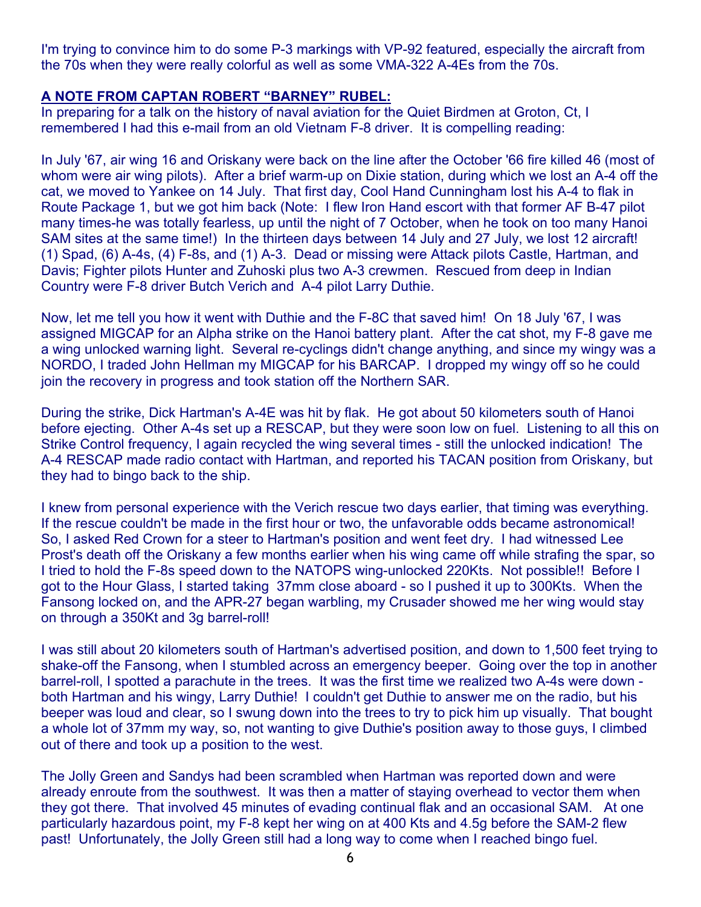I'm trying to convince him to do some P-3 markings with VP-92 featured, especially the aircraft from the 70s when they were really colorful as well as some VMA-322 A-4Es from the 70s.

# **A NOTE FROM CAPTAN ROBERT "BARNEY" RUBEL:**

In preparing for a talk on the history of naval aviation for the Quiet Birdmen at Groton, Ct, I remembered I had this e-mail from an old Vietnam F-8 driver. It is compelling reading:

In July '67, air wing 16 and Oriskany were back on the line after the October '66 fire killed 46 (most of whom were air wing pilots). After a brief warm-up on Dixie station, during which we lost an A-4 off the cat, we moved to Yankee on 14 July. That first day, Cool Hand Cunningham lost his A-4 to flak in Route Package 1, but we got him back (Note: I flew Iron Hand escort with that former AF B-47 pilot many times-he was totally fearless, up until the night of 7 October, when he took on too many Hanoi SAM sites at the same time!) In the thirteen days between 14 July and 27 July, we lost 12 aircraft! (1) Spad, (6) A-4s, (4) F-8s, and (1) A-3. Dead or missing were Attack pilots Castle, Hartman, and Davis; Fighter pilots Hunter and Zuhoski plus two A-3 crewmen. Rescued from deep in Indian Country were F-8 driver Butch Verich and A-4 pilot Larry Duthie.

Now, let me tell you how it went with Duthie and the F-8C that saved him! On 18 July '67, I was assigned MIGCAP for an Alpha strike on the Hanoi battery plant. After the cat shot, my F-8 gave me a wing unlocked warning light. Several re-cyclings didn't change anything, and since my wingy was a NORDO, I traded John Hellman my MIGCAP for his BARCAP. I dropped my wingy off so he could join the recovery in progress and took station off the Northern SAR.

During the strike, Dick Hartman's A-4E was hit by flak. He got about 50 kilometers south of Hanoi before ejecting. Other A-4s set up a RESCAP, but they were soon low on fuel. Listening to all this on Strike Control frequency, I again recycled the wing several times - still the unlocked indication! The A-4 RESCAP made radio contact with Hartman, and reported his TACAN position from Oriskany, but they had to bingo back to the ship.

I knew from personal experience with the Verich rescue two days earlier, that timing was everything. If the rescue couldn't be made in the first hour or two, the unfavorable odds became astronomical! So, I asked Red Crown for a steer to Hartman's position and went feet dry. I had witnessed Lee Prost's death off the Oriskany a few months earlier when his wing came off while strafing the spar, so I tried to hold the F-8s speed down to the NATOPS wing-unlocked 220Kts. Not possible!! Before I got to the Hour Glass, I started taking 37mm close aboard - so I pushed it up to 300Kts. When the Fansong locked on, and the APR-27 began warbling, my Crusader showed me her wing would stay on through a 350Kt and 3g barrel-roll!

I was still about 20 kilometers south of Hartman's advertised position, and down to 1,500 feet trying to shake-off the Fansong, when I stumbled across an emergency beeper. Going over the top in another barrel-roll, I spotted a parachute in the trees. It was the first time we realized two A-4s were down both Hartman and his wingy, Larry Duthie! I couldn't get Duthie to answer me on the radio, but his beeper was loud and clear, so I swung down into the trees to try to pick him up visually. That bought a whole lot of 37mm my way, so, not wanting to give Duthie's position away to those guys, I climbed out of there and took up a position to the west.

The Jolly Green and Sandys had been scrambled when Hartman was reported down and were already enroute from the southwest. It was then a matter of staying overhead to vector them when they got there. That involved 45 minutes of evading continual flak and an occasional SAM. At one particularly hazardous point, my F-8 kept her wing on at 400 Kts and 4.5g before the SAM-2 flew past! Unfortunately, the Jolly Green still had a long way to come when I reached bingo fuel.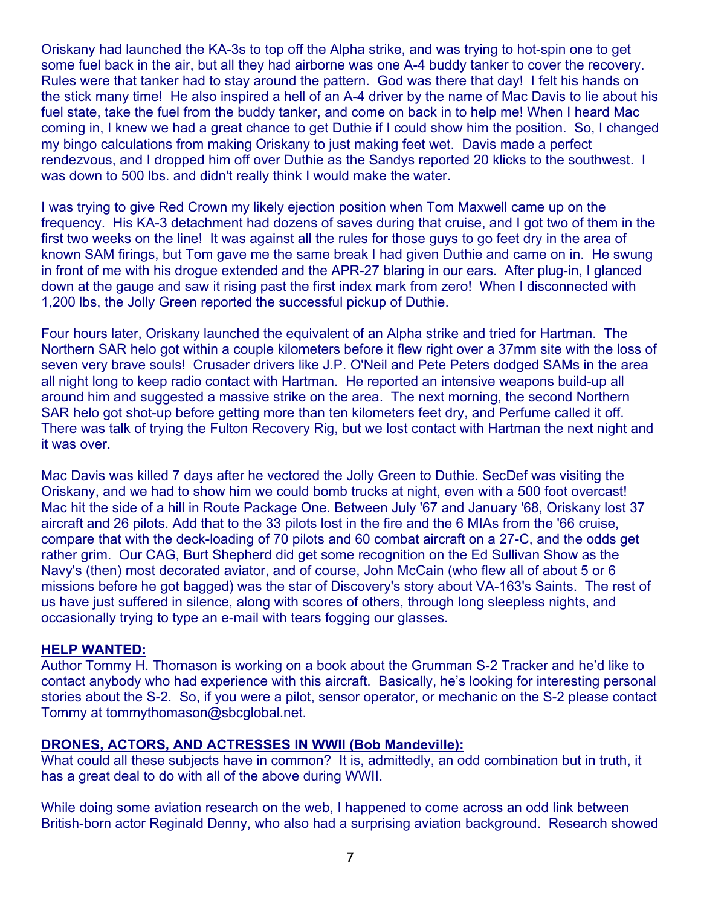Oriskany had launched the KA-3s to top off the Alpha strike, and was trying to hot-spin one to get some fuel back in the air, but all they had airborne was one A-4 buddy tanker to cover the recovery. Rules were that tanker had to stay around the pattern. God was there that day! I felt his hands on the stick many time! He also inspired a hell of an A-4 driver by the name of Mac Davis to lie about his fuel state, take the fuel from the buddy tanker, and come on back in to help me! When I heard Mac coming in, I knew we had a great chance to get Duthie if I could show him the position. So, I changed my bingo calculations from making Oriskany to just making feet wet. Davis made a perfect rendezvous, and I dropped him off over Duthie as the Sandys reported 20 klicks to the southwest. I was down to 500 lbs. and didn't really think I would make the water.

I was trying to give Red Crown my likely ejection position when Tom Maxwell came up on the frequency. His KA-3 detachment had dozens of saves during that cruise, and I got two of them in the first two weeks on the line! It was against all the rules for those guys to go feet dry in the area of known SAM firings, but Tom gave me the same break I had given Duthie and came on in. He swung in front of me with his drogue extended and the APR-27 blaring in our ears. After plug-in, I glanced down at the gauge and saw it rising past the first index mark from zero! When I disconnected with 1,200 lbs, the Jolly Green reported the successful pickup of Duthie.

Four hours later, Oriskany launched the equivalent of an Alpha strike and tried for Hartman. The Northern SAR helo got within a couple kilometers before it flew right over a 37mm site with the loss of seven very brave souls! Crusader drivers like J.P. O'Neil and Pete Peters dodged SAMs in the area all night long to keep radio contact with Hartman. He reported an intensive weapons build-up all around him and suggested a massive strike on the area. The next morning, the second Northern SAR helo got shot-up before getting more than ten kilometers feet dry, and Perfume called it off. There was talk of trying the Fulton Recovery Rig, but we lost contact with Hartman the next night and it was over.

Mac Davis was killed 7 days after he vectored the Jolly Green to Duthie. SecDef was visiting the Oriskany, and we had to show him we could bomb trucks at night, even with a 500 foot overcast! Mac hit the side of a hill in Route Package One. Between July '67 and January '68, Oriskany lost 37 aircraft and 26 pilots. Add that to the 33 pilots lost in the fire and the 6 MIAs from the '66 cruise, compare that with the deck-loading of 70 pilots and 60 combat aircraft on a 27-C, and the odds get rather grim. Our CAG, Burt Shepherd did get some recognition on the Ed Sullivan Show as the Navy's (then) most decorated aviator, and of course, John McCain (who flew all of about 5 or 6 missions before he got bagged) was the star of Discovery's story about VA-163's Saints. The rest of us have just suffered in silence, along with scores of others, through long sleepless nights, and occasionally trying to type an e-mail with tears fogging our glasses.

### **HELP WANTED:**

Author Tommy H. Thomason is working on a book about the Grumman S-2 Tracker and he'd like to contact anybody who had experience with this aircraft. Basically, he's looking for interesting personal stories about the S-2. So, if you were a pilot, sensor operator, or mechanic on the S-2 please contact Tommy at tommythomason@sbcglobal.net.

### **DRONES, ACTORS, AND ACTRESSES IN WWII (Bob Mandeville):**

What could all these subjects have in common? It is, admittedly, an odd combination but in truth, it has a great deal to do with all of the above during WWII.

While doing some aviation research on the web, I happened to come across an odd link between British-born actor Reginald Denny, who also had a surprising aviation background. Research showed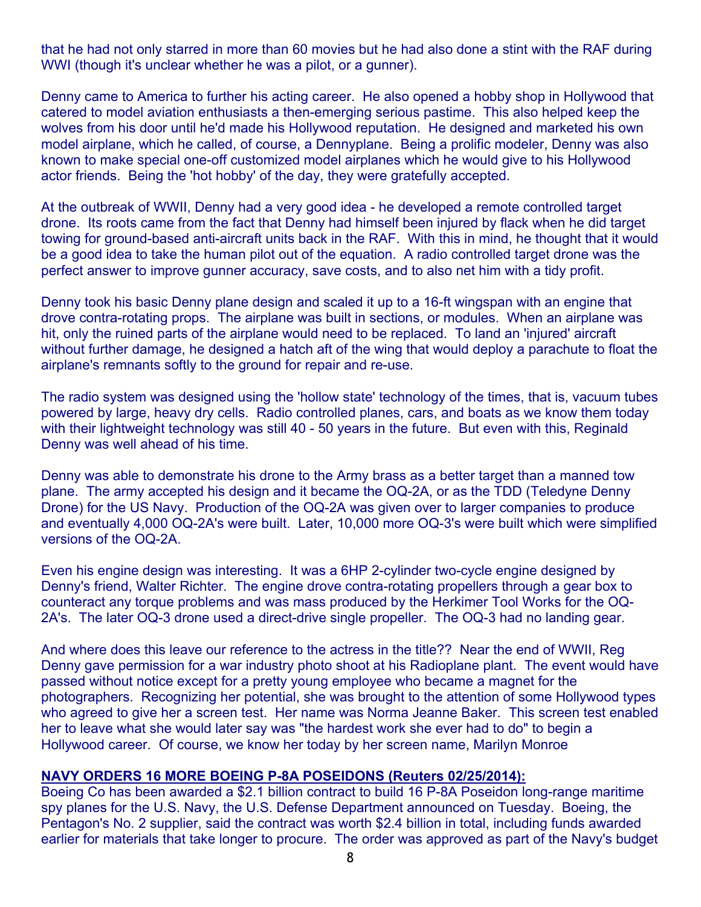that he had not only starred in more than 60 movies but he had also done a stint with the RAF during WWI (though it's unclear whether he was a pilot, or a gunner).

Denny came to America to further his acting career. He also opened a hobby shop in Hollywood that catered to model aviation enthusiasts a then-emerging serious pastime. This also helped keep the wolves from his door until he'd made his Hollywood reputation. He designed and marketed his own model airplane, which he called, of course, a Dennyplane. Being a prolific modeler, Denny was also known to make special one-off customized model airplanes which he would give to his Hollywood actor friends. Being the 'hot hobby' of the day, they were gratefully accepted.

At the outbreak of WWII, Denny had a very good idea - he developed a remote controlled target drone. Its roots came from the fact that Denny had himself been injured by flack when he did target towing for ground-based anti-aircraft units back in the RAF. With this in mind, he thought that it would be a good idea to take the human pilot out of the equation. A radio controlled target drone was the perfect answer to improve gunner accuracy, save costs, and to also net him with a tidy profit.

Denny took his basic Denny plane design and scaled it up to a 16-ft wingspan with an engine that drove contra-rotating props. The airplane was built in sections, or modules. When an airplane was hit, only the ruined parts of the airplane would need to be replaced. To land an 'injured' aircraft without further damage, he designed a hatch aft of the wing that would deploy a parachute to float the airplane's remnants softly to the ground for repair and re-use.

The radio system was designed using the 'hollow state' technology of the times, that is, vacuum tubes powered by large, heavy dry cells. Radio controlled planes, cars, and boats as we know them today with their lightweight technology was still 40 - 50 years in the future. But even with this, Reginald Denny was well ahead of his time.

Denny was able to demonstrate his drone to the Army brass as a better target than a manned tow plane. The army accepted his design and it became the OQ-2A, or as the TDD (Teledyne Denny Drone) for the US Navy. Production of the OQ-2A was given over to larger companies to produce and eventually 4,000 OQ-2A's were built. Later, 10,000 more OQ-3's were built which were simplified versions of the OQ-2A.

Even his engine design was interesting. It was a 6HP 2-cylinder two-cycle engine designed by Denny's friend, Walter Richter. The engine drove contra-rotating propellers through a gear box to counteract any torque problems and was mass produced by the Herkimer Tool Works for the OQ-2A's. The later OQ-3 drone used a direct-drive single propeller. The OQ-3 had no landing gear.

And where does this leave our reference to the actress in the title?? Near the end of WWII, Reg Denny gave permission for a war industry photo shoot at his Radioplane plant. The event would have passed without notice except for a pretty young employee who became a magnet for the photographers. Recognizing her potential, she was brought to the attention of some Hollywood types who agreed to give her a screen test. Her name was Norma Jeanne Baker. This screen test enabled her to leave what she would later say was "the hardest work she ever had to do" to begin a Hollywood career. Of course, we know her today by her screen name, Marilyn Monroe

### **NAVY ORDERS 16 MORE BOEING P-8A POSEIDONS (Reuters 02/25/2014):**

Boeing Co has been awarded a \$2.1 billion contract to build 16 P-8A Poseidon long-range maritime spy planes for the U.S. Navy, the U.S. Defense Department announced on Tuesday. Boeing, the Pentagon's No. 2 supplier, said the contract was worth \$2.4 billion in total, including funds awarded earlier for materials that take longer to procure. The order was approved as part of the Navy's budget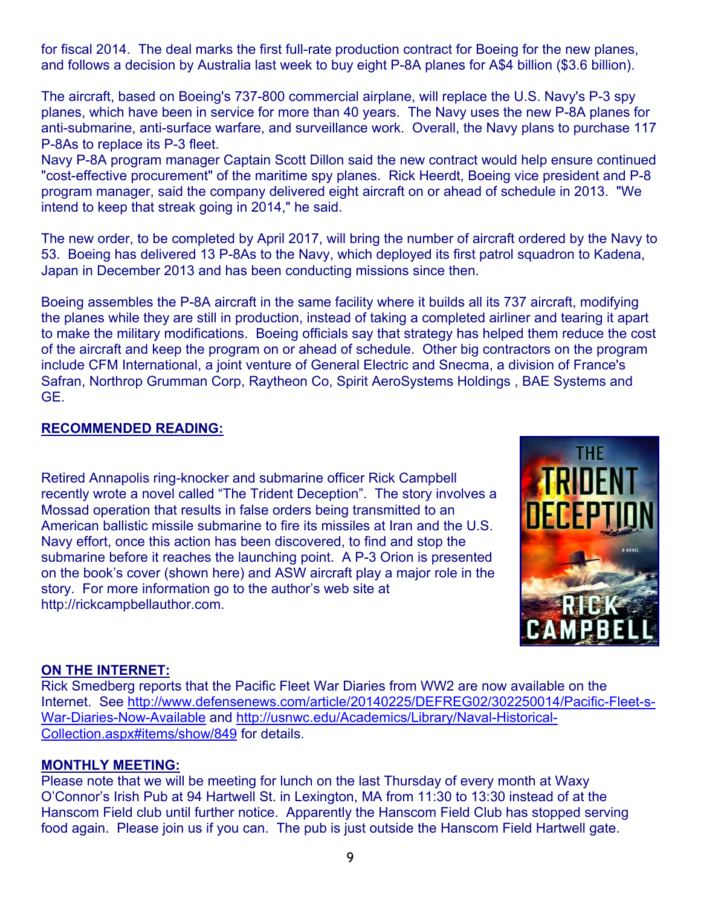for fiscal 2014. The deal marks the first full-rate production contract for Boeing for the new planes, and follows a decision by Australia last week to buy eight P-8A planes for A\$4 billion (\$3.6 billion).

The aircraft, based on Boeing's 737-800 commercial airplane, will replace the U.S. Navy's P-3 spy planes, which have been in service for more than 40 years. The Navy uses the new P-8A planes for anti-submarine, anti-surface warfare, and surveillance work. Overall, the Navy plans to purchase 117 P-8As to replace its P-3 fleet.

Navy P-8A program manager Captain Scott Dillon said the new contract would help ensure continued "cost-effective procurement" of the maritime spy planes. Rick Heerdt, Boeing vice president and P-8 program manager, said the company delivered eight aircraft on or ahead of schedule in 2013. "We intend to keep that streak going in 2014," he said.

The new order, to be completed by April 2017, will bring the number of aircraft ordered by the Navy to 53. Boeing has delivered 13 P-8As to the Navy, which deployed its first patrol squadron to Kadena, Japan in December 2013 and has been conducting missions since then.

Boeing assembles the P-8A aircraft in the same facility where it builds all its 737 aircraft, modifying the planes while they are still in production, instead of taking a completed airliner and tearing it apart to make the military modifications. Boeing officials say that strategy has helped them reduce the cost of the aircraft and keep the program on or ahead of schedule. Other big contractors on the program include CFM International, a joint venture of General Electric and Snecma, a division of France's Safran, Northrop Grumman Corp, Raytheon Co, Spirit AeroSystems Holdings , BAE Systems and GE.

# **RECOMMENDED READING:**

Retired Annapolis ring-knocker and submarine officer Rick Campbell recently wrote a novel called "The Trident Deception". The story involves a Mossad operation that results in false orders being transmitted to an American ballistic missile submarine to fire its missiles at Iran and the U.S. Navy effort, once this action has been discovered, to find and stop the submarine before it reaches the launching point. A P-3 Orion is presented on the book's cover (shown here) and ASW aircraft play a major role in the story. For more information go to the author's web site at http://rickcampbellauthor.com.



# **ON THE INTERNET:**

Rick Smedberg reports that the Pacific Fleet War Diaries from WW2 are now available on the Internet. See http://www.defensenews.com/article/20140225/DEFREG02/302250014/Pacific-Fleet-s-War-Diaries-Now-Available and http://usnwc.edu/Academics/Library/Naval-Historical-Collection.aspx#items/show/849 for details.

### **MONTHLY MEETING:**

Please note that we will be meeting for lunch on the last Thursday of every month at Waxy O'Connor's Irish Pub at 94 Hartwell St. in Lexington, MA from 11:30 to 13:30 instead of at the Hanscom Field club until further notice. Apparently the Hanscom Field Club has stopped serving food again. Please join us if you can. The pub is just outside the Hanscom Field Hartwell gate.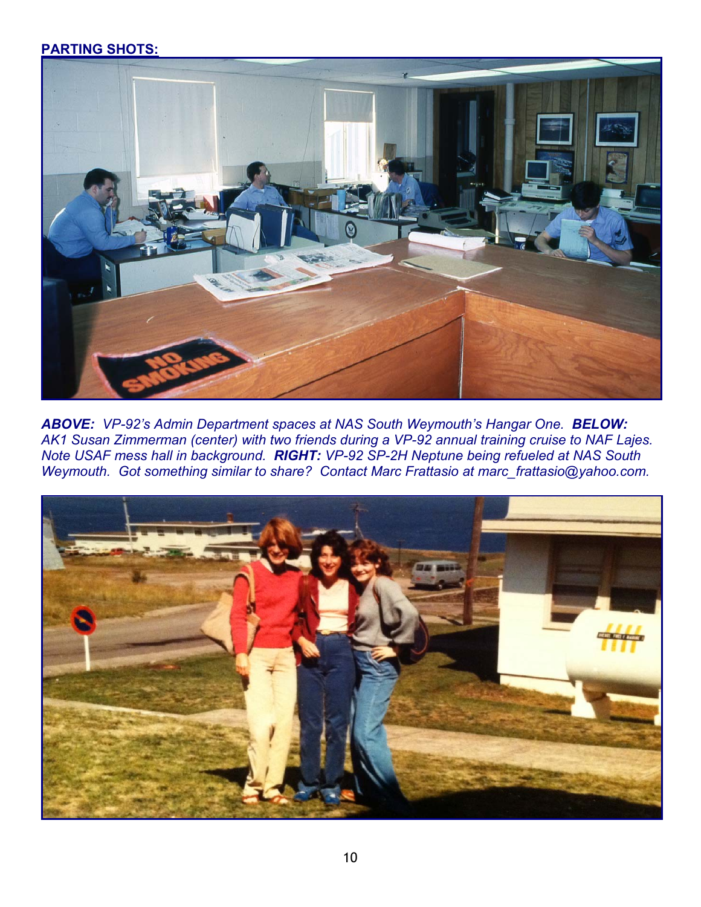# **PARTING SHOTS:**



*ABOVE: VP-92's Admin Department spaces at NAS South Weymouth's Hangar One. BELOW: AK1 Susan Zimmerman (center) with two friends during a VP-92 annual training cruise to NAF Lajes. Note USAF mess hall in background. RIGHT: VP-92 SP-2H Neptune being refueled at NAS South Weymouth. Got something similar to share? Contact Marc Frattasio at marc\_frattasio@yahoo.com.* 

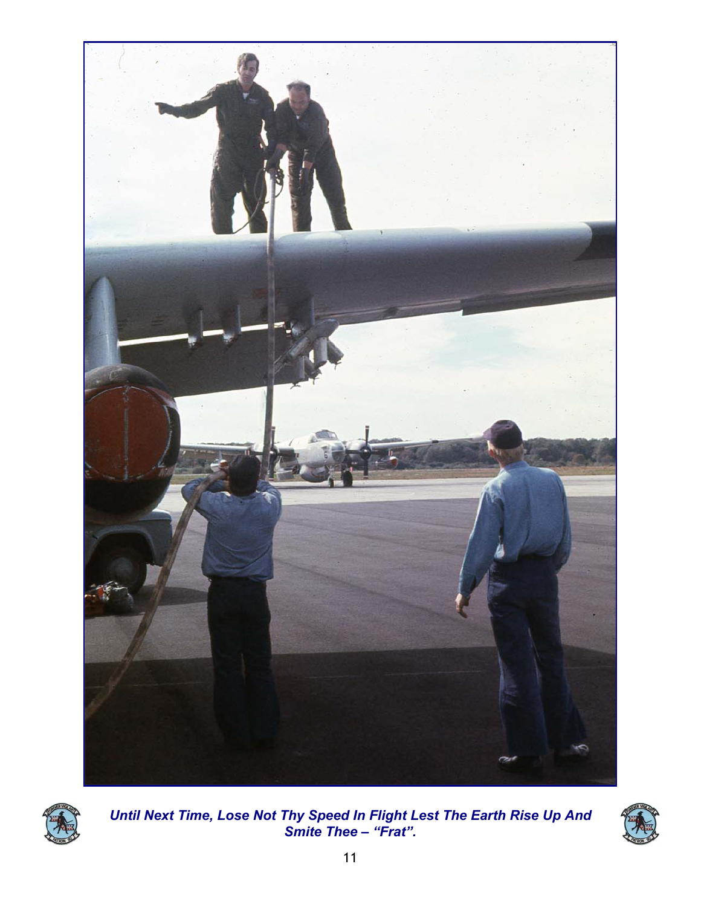



*Until Next Time, Lose Not Thy Speed In Flight Lest The Earth Rise Up And Smite Thee – "Frat".*